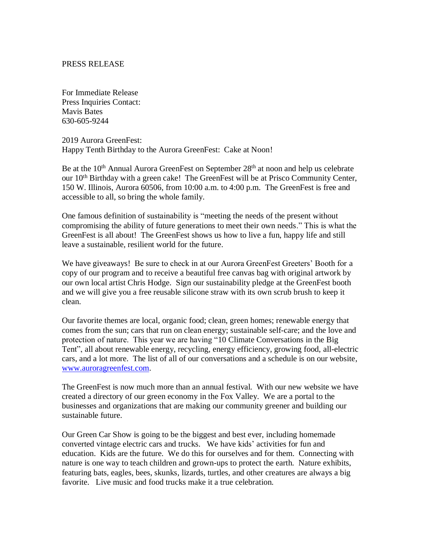## PRESS RELEASE

For Immediate Release Press Inquiries Contact: Mavis Bates 630-605-9244

2019 Aurora GreenFest: Happy Tenth Birthday to the Aurora GreenFest: Cake at Noon!

Be at the 10<sup>th</sup> Annual Aurora GreenFest on September 28<sup>th</sup> at noon and help us celebrate our 10th Birthday with a green cake! The GreenFest will be at Prisco Community Center, 150 W. Illinois, Aurora 60506, from 10:00 a.m. to 4:00 p.m. The GreenFest is free and accessible to all, so bring the whole family.

One famous definition of sustainability is "meeting the needs of the present without compromising the ability of future generations to meet their own needs." This is what the GreenFest is all about! The GreenFest shows us how to live a fun, happy life and still leave a sustainable, resilient world for the future.

We have giveaways! Be sure to check in at our Aurora GreenFest Greeters' Booth for a copy of our program and to receive a beautiful free canvas bag with original artwork by our own local artist Chris Hodge. Sign our sustainability pledge at the GreenFest booth and we will give you a free reusable silicone straw with its own scrub brush to keep it clean.

Our favorite themes are local, organic food; clean, green homes; renewable energy that comes from the sun; cars that run on clean energy; sustainable self-care; and the love and protection of nature. This year we are having "10 Climate Conversations in the Big Tent", all about renewable energy, recycling, energy efficiency, growing food, all-electric cars, and a lot more. The list of all of our conversations and a schedule is on our website, [www.auroragreenfest.com.](http://www.auroragreenfest.com/)

The GreenFest is now much more than an annual festival. With our new website we have created a directory of our green economy in the Fox Valley. We are a portal to the businesses and organizations that are making our community greener and building our sustainable future.

Our Green Car Show is going to be the biggest and best ever, including homemade converted vintage electric cars and trucks. We have kids' activities for fun and education. Kids are the future. We do this for ourselves and for them. Connecting with nature is one way to teach children and grown-ups to protect the earth. Nature exhibits, featuring bats, eagles, bees, skunks, lizards, turtles, and other creatures are always a big favorite. Live music and food trucks make it a true celebration.